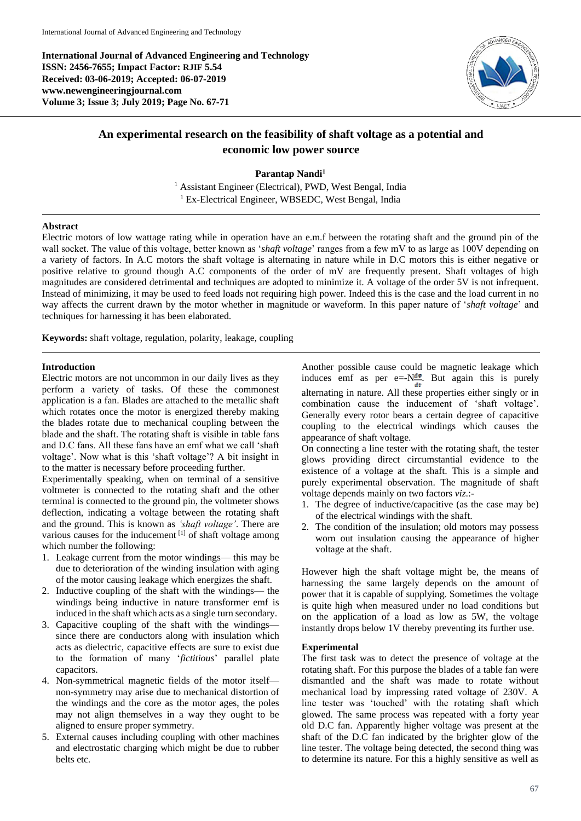**International Journal of Advanced Engineering and Technology ISSN: 2456-7655; Impact Factor: RJIF 5.54 Received: 03-06-2019; Accepted: 06-07-2019 www.newengineeringjournal.com Volume 3; Issue 3; July 2019; Page No. 67-71**



# **An experimental research on the feasibility of shaft voltage as a potential and economic low power source**

**Parantap Nandi<sup>1</sup>**

<sup>1</sup> Assistant Engineer (Electrical), PWD, West Bengal, India <sup>1</sup> Ex-Electrical Engineer, WBSEDC, West Bengal, India

#### **Abstract**

Electric motors of low wattage rating while in operation have an e.m.f between the rotating shaft and the ground pin of the wall socket. The value of this voltage, better known as '*shaft voltage*' ranges from a few mV to as large as 100V depending on a variety of factors. In A.C motors the shaft voltage is alternating in nature while in D.C motors this is either negative or positive relative to ground though A.C components of the order of mV are frequently present. Shaft voltages of high magnitudes are considered detrimental and techniques are adopted to minimize it. A voltage of the order 5V is not infrequent. Instead of minimizing, it may be used to feed loads not requiring high power. Indeed this is the case and the load current in no way affects the current drawn by the motor whether in magnitude or waveform. In this paper nature of '*shaft voltage*' and techniques for harnessing it has been elaborated.

**Keywords:** shaft voltage, regulation, polarity, leakage, coupling

### **Introduction**

Electric motors are not uncommon in our daily lives as they perform a variety of tasks. Of these the commonest application is a fan. Blades are attached to the metallic shaft which rotates once the motor is energized thereby making the blades rotate due to mechanical coupling between the blade and the shaft. The rotating shaft is visible in table fans and D.C fans. All these fans have an emf what we call 'shaft voltage'. Now what is this 'shaft voltage'? A bit insight in to the matter is necessary before proceeding further.

Experimentally speaking, when on terminal of a sensitive voltmeter is connected to the rotating shaft and the other terminal is connected to the ground pin, the voltmeter shows deflection, indicating a voltage between the rotating shaft and the ground. This is known as *'shaft voltage'*. There are various causes for the inducement [1] of shaft voltage among which number the following:

- 1. Leakage current from the motor windings— this may be due to deterioration of the winding insulation with aging of the motor causing leakage which energizes the shaft.
- 2. Inductive coupling of the shaft with the windings— the windings being inductive in nature transformer emf is induced in the shaft which acts as a single turn secondary.
- 3. Capacitive coupling of the shaft with the windings since there are conductors along with insulation which acts as dielectric, capacitive effects are sure to exist due to the formation of many '*fictitious*' parallel plate capacitors.
- 4. Non-symmetrical magnetic fields of the motor itself non-symmetry may arise due to mechanical distortion of the windings and the core as the motor ages, the poles may not align themselves in a way they ought to be aligned to ensure proper symmetry.
- 5. External causes including coupling with other machines and electrostatic charging which might be due to rubber belts etc.

Another possible cause could be magnetic leakage which induces emf as per e=- $N_{\frac{d\phi}{dt}}^{\frac{d\phi}{dt}}$ . But again this is purely alternating in nature. All these properties either singly or in combination cause the inducement of 'shaft voltage'. Generally every rotor bears a certain degree of capacitive coupling to the electrical windings which causes the appearance of shaft voltage.

On connecting a line tester with the rotating shaft, the tester glows providing direct circumstantial evidence to the existence of a voltage at the shaft. This is a simple and purely experimental observation. The magnitude of shaft voltage depends mainly on two factors *viz*.:-

- 1. The degree of inductive/capacitive (as the case may be) of the electrical windings with the shaft.
- 2. The condition of the insulation; old motors may possess worn out insulation causing the appearance of higher voltage at the shaft.

However high the shaft voltage might be, the means of harnessing the same largely depends on the amount of power that it is capable of supplying. Sometimes the voltage is quite high when measured under no load conditions but on the application of a load as low as 5W, the voltage instantly drops below 1V thereby preventing its further use.

#### **Experimental**

The first task was to detect the presence of voltage at the rotating shaft. For this purpose the blades of a table fan were dismantled and the shaft was made to rotate without mechanical load by impressing rated voltage of 230V. A line tester was 'touched' with the rotating shaft which glowed. The same process was repeated with a forty year old D.C fan. Apparently higher voltage was present at the shaft of the D.C fan indicated by the brighter glow of the line tester. The voltage being detected, the second thing was to determine its nature. For this a highly sensitive as well as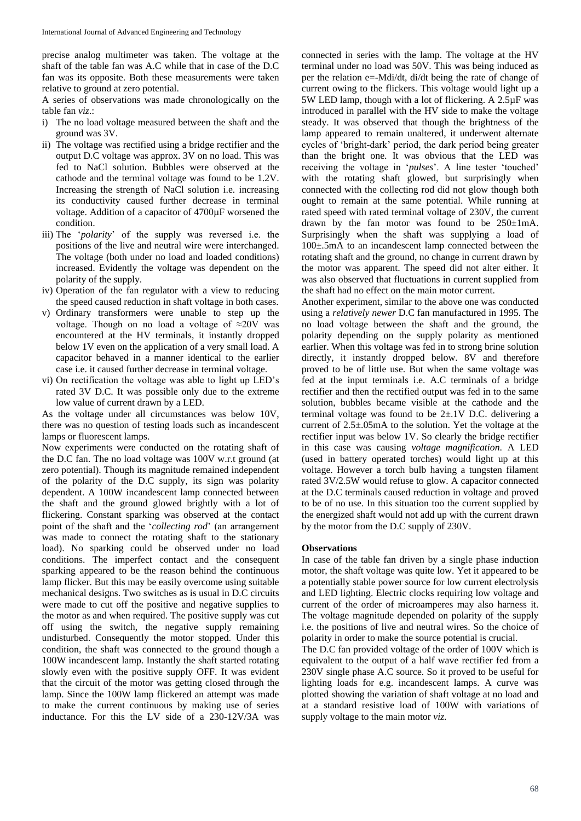precise analog multimeter was taken. The voltage at the shaft of the table fan was A.C while that in case of the D.C fan was its opposite. Both these measurements were taken relative to ground at zero potential.

A series of observations was made chronologically on the table fan *viz*.:

- i) The no load voltage measured between the shaft and the ground was 3V.
- ii) The voltage was rectified using a bridge rectifier and the output D.C voltage was approx. 3V on no load. This was fed to NaCl solution. Bubbles were observed at the cathode and the terminal voltage was found to be 1.2V. Increasing the strength of NaCl solution i.e. increasing its conductivity caused further decrease in terminal voltage. Addition of a capacitor of 4700µF worsened the condition.
- iii) The '*polarity*' of the supply was reversed i.e. the positions of the live and neutral wire were interchanged. The voltage (both under no load and loaded conditions) increased. Evidently the voltage was dependent on the polarity of the supply.
- iv) Operation of the fan regulator with a view to reducing the speed caused reduction in shaft voltage in both cases.
- v) Ordinary transformers were unable to step up the voltage. Though on no load a voltage of ≈20V was encountered at the HV terminals, it instantly dropped below 1V even on the application of a very small load. A capacitor behaved in a manner identical to the earlier case i.e. it caused further decrease in terminal voltage.
- vi) On rectification the voltage was able to light up LED's rated 3V D.C. It was possible only due to the extreme low value of current drawn by a LED.

As the voltage under all circumstances was below 10V, there was no question of testing loads such as incandescent lamps or fluorescent lamps.

Now experiments were conducted on the rotating shaft of the D.C fan. The no load voltage was 100V w.r.t ground (at zero potential). Though its magnitude remained independent of the polarity of the D.C supply, its sign was polarity dependent. A 100W incandescent lamp connected between the shaft and the ground glowed brightly with a lot of flickering. Constant sparking was observed at the contact point of the shaft and the '*collecting rod*' (an arrangement was made to connect the rotating shaft to the stationary load). No sparking could be observed under no load conditions. The imperfect contact and the consequent sparking appeared to be the reason behind the continuous lamp flicker. But this may be easily overcome using suitable mechanical designs. Two switches as is usual in D.C circuits were made to cut off the positive and negative supplies to the motor as and when required. The positive supply was cut off using the switch, the negative supply remaining undisturbed. Consequently the motor stopped. Under this condition, the shaft was connected to the ground though a 100W incandescent lamp. Instantly the shaft started rotating slowly even with the positive supply OFF. It was evident that the circuit of the motor was getting closed through the lamp. Since the 100W lamp flickered an attempt was made to make the current continuous by making use of series inductance. For this the LV side of a 230-12V/3A was

connected in series with the lamp. The voltage at the HV terminal under no load was 50V. This was being induced as per the relation e=-Mdi/dt, di/dt being the rate of change of current owing to the flickers. This voltage would light up a 5W LED lamp, though with a lot of flickering. A 2.5µF was introduced in parallel with the HV side to make the voltage steady. It was observed that though the brightness of the lamp appeared to remain unaltered, it underwent alternate cycles of 'bright-dark' period, the dark period being greater than the bright one. It was obvious that the LED was receiving the voltage in '*pulses*'. A line tester 'touched' with the rotating shaft glowed, but surprisingly when connected with the collecting rod did not glow though both ought to remain at the same potential. While running at rated speed with rated terminal voltage of 230V, the current drawn by the fan motor was found to be  $250 \pm 1 \text{mA}$ . Surprisingly when the shaft was supplying a load of 100±.5mA to an incandescent lamp connected between the rotating shaft and the ground, no change in current drawn by the motor was apparent. The speed did not alter either. It was also observed that fluctuations in current supplied from the shaft had no effect on the main motor current.

Another experiment, similar to the above one was conducted using a *relatively newer* D.C fan manufactured in 1995. The no load voltage between the shaft and the ground, the polarity depending on the supply polarity as mentioned earlier. When this voltage was fed in to strong brine solution directly, it instantly dropped below. 8V and therefore proved to be of little use. But when the same voltage was fed at the input terminals i.e. A.C terminals of a bridge rectifier and then the rectified output was fed in to the same solution, bubbles became visible at the cathode and the terminal voltage was found to be  $2\pm.1V$  D.C. delivering a current of 2.5±.05mA to the solution. Yet the voltage at the rectifier input was below 1V. So clearly the bridge rectifier in this case was causing *voltage magnification*. A LED (used in battery operated torches) would light up at this voltage. However a torch bulb having a tungsten filament rated 3V/2.5W would refuse to glow. A capacitor connected at the D.C terminals caused reduction in voltage and proved to be of no use. In this situation too the current supplied by the energized shaft would not add up with the current drawn by the motor from the D.C supply of 230V.

## **Observations**

In case of the table fan driven by a single phase induction motor, the shaft voltage was quite low. Yet it appeared to be a potentially stable power source for low current electrolysis and LED lighting. Electric clocks requiring low voltage and current of the order of microamperes may also harness it. The voltage magnitude depended on polarity of the supply i.e. the positions of live and neutral wires. So the choice of polarity in order to make the source potential is crucial.

The D.C fan provided voltage of the order of 100V which is equivalent to the output of a half wave rectifier fed from a 230V single phase A.C source. So it proved to be useful for lighting loads for e.g. incandescent lamps. A curve was plotted showing the variation of shaft voltage at no load and at a standard resistive load of 100W with variations of supply voltage to the main motor *viz*.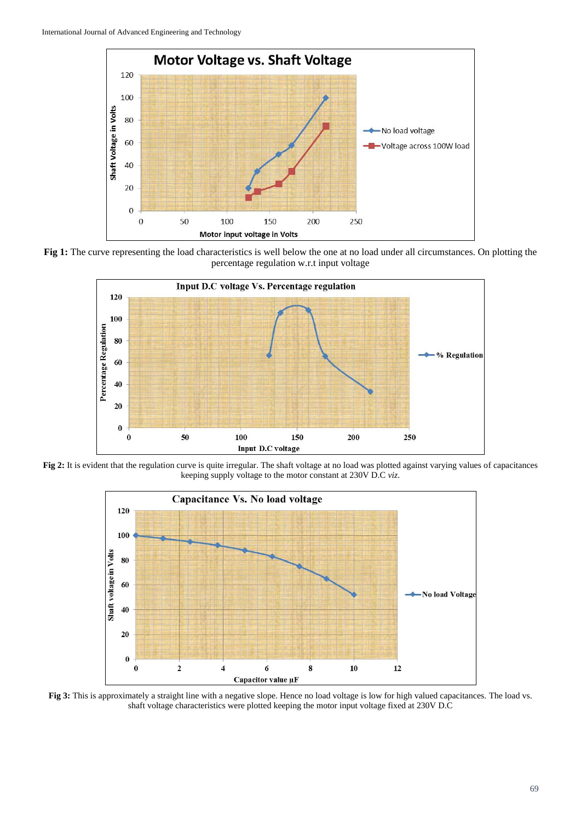

**Fig 1:** The curve representing the load characteristics is well below the one at no load under all circumstances. On plotting the percentage regulation w.r.t input voltage



**Fig 2:** It is evident that the regulation curve is quite irregular. The shaft voltage at no load was plotted against varying values of capacitances keeping supply voltage to the motor constant at 230V D.C *viz*.



**Fig 3:** This is approximately a straight line with a negative slope. Hence no load voltage is low for high valued capacitances. The load vs. shaft voltage characteristics were plotted keeping the motor input voltage fixed at 230V D.C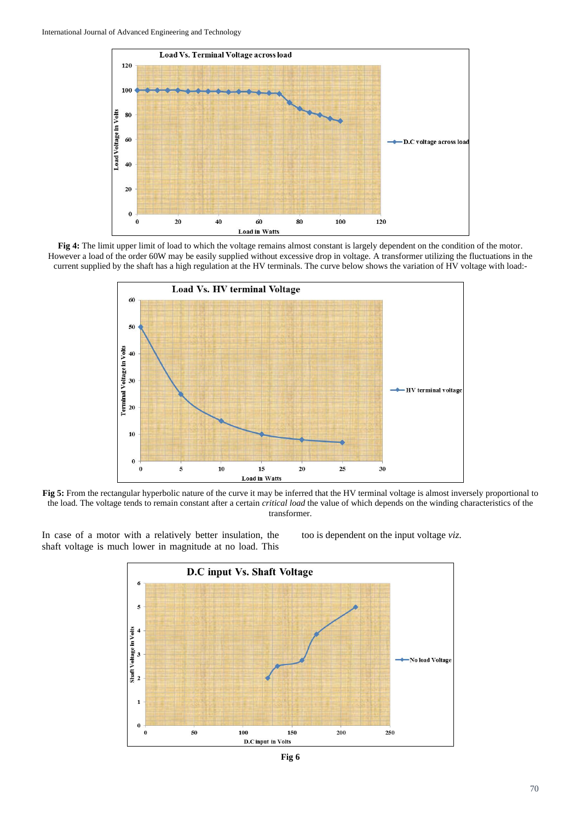

**Fig 4:** The limit upper limit of load to which the voltage remains almost constant is largely dependent on the condition of the motor. However a load of the order 60W may be easily supplied without excessive drop in voltage. A transformer utilizing the fluctuations in the current supplied by the shaft has a high regulation at the HV terminals. The curve below shows the variation of HV voltage with load:-



**Fig 5:** From the rectangular hyperbolic nature of the curve it may be inferred that the HV terminal voltage is almost inversely proportional to the load. The voltage tends to remain constant after a certain *critical load* the value of which depends on the winding characteristics of the transformer.

In case of a motor with a relatively better insulation, the shaft voltage is much lower in magnitude at no load. This

too is dependent on the input voltage *viz*.



**Fig 6**